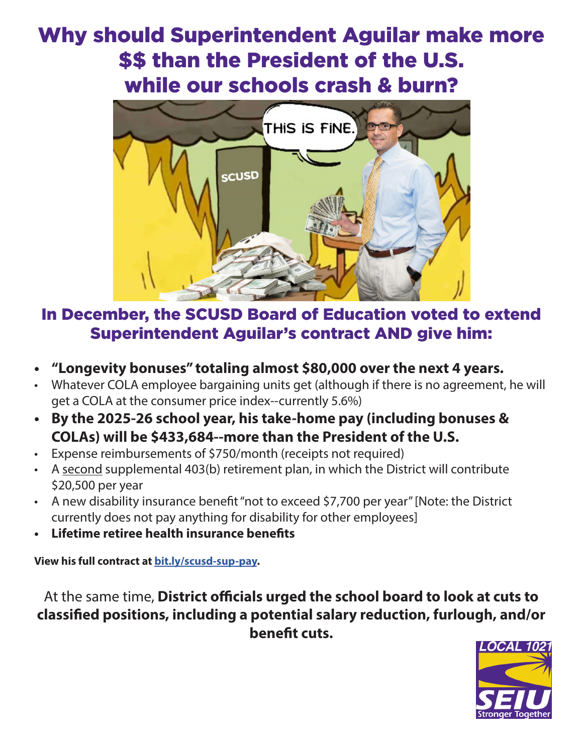## Why should Superintendent Aguilar make more \$\$ than the President of the U.S. while our schools crash & burn?



## In December, the SCUSD Board of Education voted to extend Superintendent Aguilar's contract AND give him:

- **• "Longevity bonuses" totaling almost \$80,000 over the next 4 years.**
- Whatever COLA employee bargaining units get (although if there is no agreement, he will get a COLA at the consumer price index--currently 5.6%)
- **• By the 2025-26 school year, his take-home pay (including bonuses & COLAs) will be \$433,684--more than the President of the U.S.**
- Expense reimbursements of \$750/month (receipts not required)
- A second supplemental 403(b) retirement plan, in which the District will contribute \$20,500 per year
- A new disability insurance benefit "not to exceed \$7,700 per year" [Note: the District currently does not pay anything for disability for other employees]
- **• Lifetime retiree health insurance benefits**

**View his full contract at bit.ly/scusd-sup-pay.**

At the same time, **District officials urged the school board to look at cuts to classified positions, including a potential salary reduction, furlough, and/or benefit cuts.**